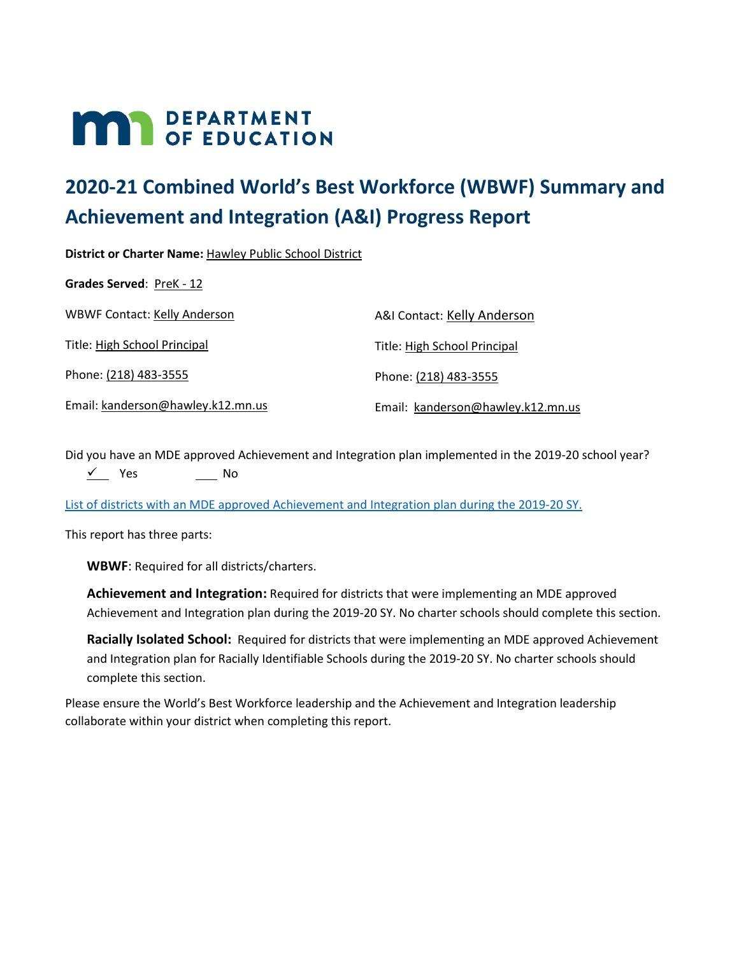# **MAR** DEPARTMENT

# **2020-21 Combined World's Best Workforce (WBWF) Summary and Achievement and Integration (A&I) Progress Report**

**District or Charter Name:** Hawley Public School District

Grades Served: PreK - 12

| <b>WBWF Contact: Kelly Anderson</b> | A&I Contact: Kelly Anderson       |
|-------------------------------------|-----------------------------------|
| Title: High School Principal        | Title: High School Principal      |
| Phone: (218) 483-3555               | Phone: (218) 483-3555             |
| Email: kanderson@hawley.k12.mn.us   | Email: kanderson@hawley.k12.mn.us |

Did you have an MDE approved Achievement and Integration plan implemented in the 2019-20 school year?  $\sqrt{ }$  Yes No

[List of districts with an MDE approved Achievement and Integration plan during the 2019-20](https://education.mn.gov/MDE/fam/003359) SY.

This report has three parts:

**WBWF**: Required for all districts/charters.

**Achievement and Integration:** Required for districts that were implementing an MDE approved Achievement and Integration plan during the 2019-20 SY. No charter schools should complete this section.

**Racially Isolated School:** Required for districts that were implementing an MDE approved Achievement and Integration plan for Racially Identifiable Schools during the 2019-20 SY. No charter schools should complete this section.

Please ensure the World's Best Workforce leadership and the Achievement and Integration leadership collaborate within your district when completing this report.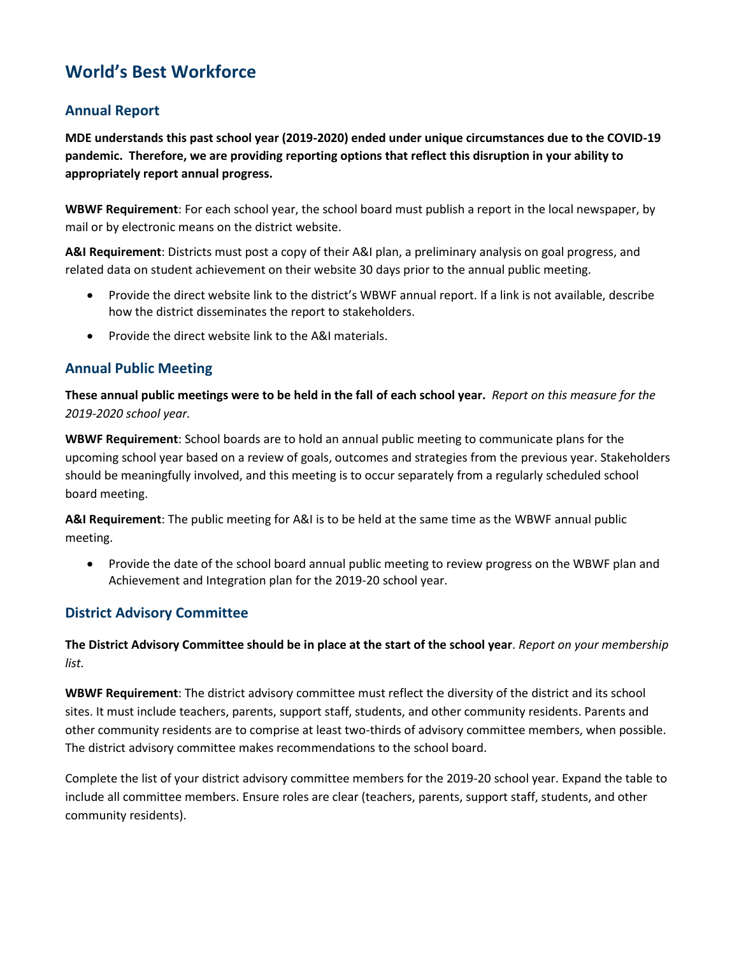# **World's Best Workforce**

# **Annual Report**

**MDE understands this past school year (2019-2020) ended under unique circumstances due to the COVID-19 pandemic. Therefore, we are providing reporting options that reflect this disruption in your ability to appropriately report annual progress.**

**WBWF Requirement**: For each school year, the school board must publish a report in the local newspaper, by mail or by electronic means on the district website.

**A&I Requirement**: Districts must post a copy of their A&I plan, a preliminary analysis on goal progress, and related data on student achievement on their website 30 days prior to the annual public meeting.

- Provide the direct website link to the district's WBWF annual report. If a link is not available, describe how the district disseminates the report to stakeholders.
- Provide the direct website link to the A&I materials.

# **Annual Public Meeting**

**These annual public meetings were to be held in the fall of each school year.** *Report on this measure for the 2019-2020 school year.*

**WBWF Requirement**: School boards are to hold an annual public meeting to communicate plans for the upcoming school year based on a review of goals, outcomes and strategies from the previous year. Stakeholders should be meaningfully involved, and this meeting is to occur separately from a regularly scheduled school board meeting.

**A&I Requirement**: The public meeting for A&I is to be held at the same time as the WBWF annual public meeting.

 Provide the date of the school board annual public meeting to review progress on the WBWF plan and Achievement and Integration plan for the 2019-20 school year.

#### **District Advisory Committee**

**The District Advisory Committee should be in place at the start of the school year**. *Report on your membership list.*

**WBWF Requirement**: The district advisory committee must reflect the diversity of the district and its school sites. It must include teachers, parents, support staff, students, and other community residents. Parents and other community residents are to comprise at least two-thirds of advisory committee members, when possible. The district advisory committee makes recommendations to the school board.

Complete the list of your district advisory committee members for the 2019-20 school year. Expand the table to include all committee members. Ensure roles are clear (teachers, parents, support staff, students, and other community residents).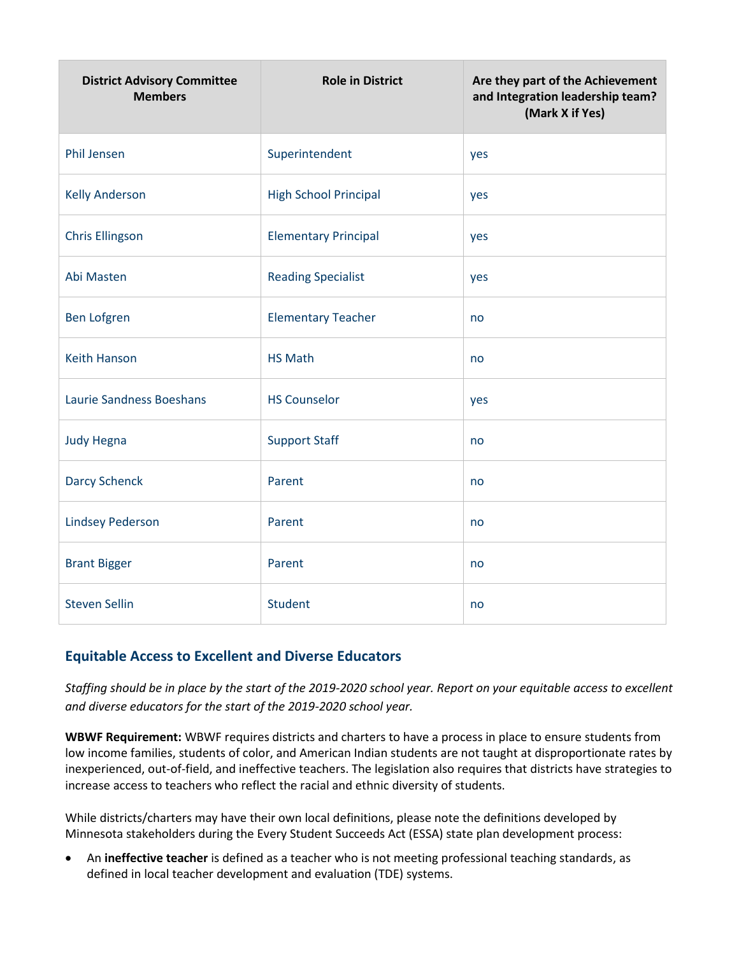| <b>District Advisory Committee</b><br><b>Members</b> | <b>Role in District</b>      | Are they part of the Achievement<br>and Integration leadership team?<br>(Mark X if Yes) |  |
|------------------------------------------------------|------------------------------|-----------------------------------------------------------------------------------------|--|
| <b>Phil Jensen</b>                                   | Superintendent               | yes                                                                                     |  |
| <b>Kelly Anderson</b>                                | <b>High School Principal</b> | yes                                                                                     |  |
| <b>Chris Ellingson</b>                               | <b>Elementary Principal</b>  | yes                                                                                     |  |
| Abi Masten                                           | <b>Reading Specialist</b>    | yes                                                                                     |  |
| <b>Ben Lofgren</b>                                   | <b>Elementary Teacher</b>    | no                                                                                      |  |
| <b>Keith Hanson</b>                                  | <b>HS Math</b>               | no                                                                                      |  |
| <b>Laurie Sandness Boeshans</b>                      | <b>HS Counselor</b>          | yes                                                                                     |  |
| <b>Judy Hegna</b>                                    | <b>Support Staff</b>         | no                                                                                      |  |
| <b>Darcy Schenck</b>                                 | Parent                       | no                                                                                      |  |
| <b>Lindsey Pederson</b>                              | Parent                       | no                                                                                      |  |
| <b>Brant Bigger</b>                                  | Parent                       | no                                                                                      |  |
| <b>Steven Sellin</b>                                 | Student                      | no                                                                                      |  |

#### **Equitable Access to Excellent and Diverse Educators**

*Staffing should be in place by the start of the 2019-2020 school year. Report on your equitable access to excellent and diverse educators for the start of the 2019-2020 school year.*

**WBWF Requirement:** WBWF requires districts and charters to have a process in place to ensure students from low income families, students of color, and American Indian students are not taught at disproportionate rates by inexperienced, out-of-field, and ineffective teachers. The legislation also requires that districts have strategies to increase access to teachers who reflect the racial and ethnic diversity of students.

While districts/charters may have their own local definitions, please note the definitions developed by Minnesota stakeholders during the Every Student Succeeds Act (ESSA) state plan development process:

 An **ineffective teacher** is defined as a teacher who is not meeting professional teaching standards, as defined in local teacher development and evaluation (TDE) systems.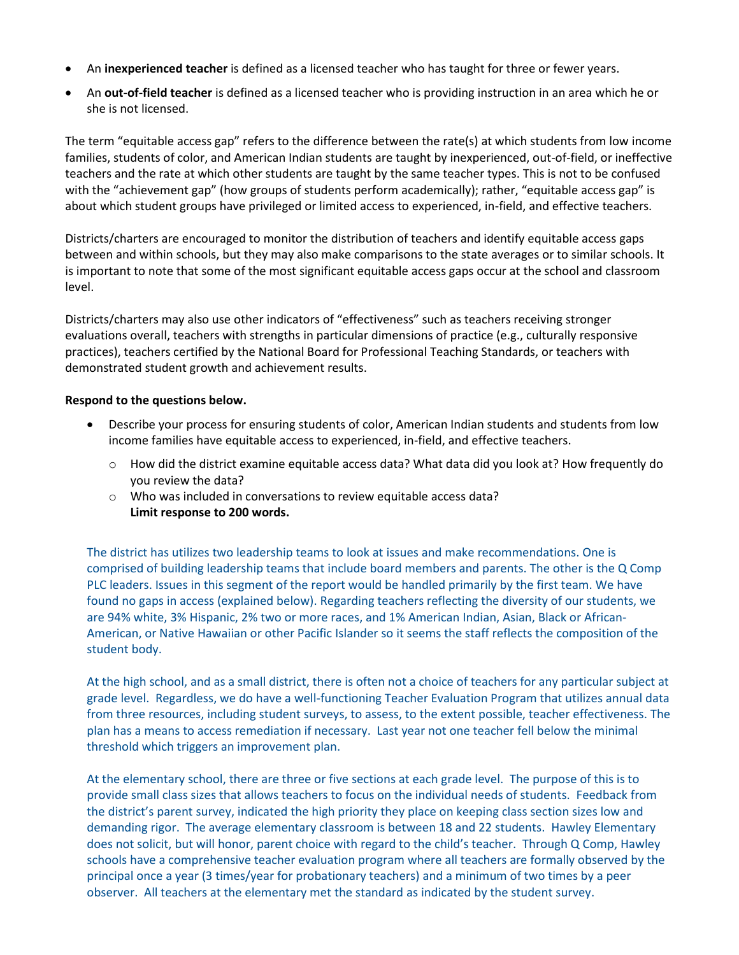- An **inexperienced teacher** is defined as a licensed teacher who has taught for three or fewer years.
- An **out-of-field teacher** is defined as a licensed teacher who is providing instruction in an area which he or she is not licensed.

The term "equitable access gap" refers to the difference between the rate(s) at which students from low income families, students of color, and American Indian students are taught by inexperienced, out-of-field, or ineffective teachers and the rate at which other students are taught by the same teacher types. This is not to be confused with the "achievement gap" (how groups of students perform academically); rather, "equitable access gap" is about which student groups have privileged or limited access to experienced, in-field, and effective teachers.

Districts/charters are encouraged to monitor the distribution of teachers and identify equitable access gaps between and within schools, but they may also make comparisons to the state averages or to similar schools. It is important to note that some of the most significant equitable access gaps occur at the school and classroom level.

Districts/charters may also use other indicators of "effectiveness" such as teachers receiving stronger evaluations overall, teachers with strengths in particular dimensions of practice (e.g., culturally responsive practices), teachers certified by the National Board for Professional Teaching Standards, or teachers with demonstrated student growth and achievement results.

#### **Respond to the questions below.**

- Describe your process for ensuring students of color, American Indian students and students from low income families have equitable access to experienced, in-field, and effective teachers.
	- o How did the district examine equitable access data? What data did you look at? How frequently do you review the data?
	- o Who was included in conversations to review equitable access data? **Limit response to 200 words.**

The district has utilizes two leadership teams to look at issues and make recommendations. One is comprised of building leadership teams that include board members and parents. The other is the Q Comp PLC leaders. Issues in this segment of the report would be handled primarily by the first team. We have found no gaps in access (explained below). Regarding teachers reflecting the diversity of our students, we are 94% white, 3% Hispanic, 2% two or more races, and 1% American Indian, Asian, Black or African-American, or Native Hawaiian or other Pacific Islander so it seems the staff reflects the composition of the student body.

At the high school, and as a small district, there is often not a choice of teachers for any particular subject at grade level. Regardless, we do have a well-functioning Teacher Evaluation Program that utilizes annual data from three resources, including student surveys, to assess, to the extent possible, teacher effectiveness. The plan has a means to access remediation if necessary. Last year not one teacher fell below the minimal threshold which triggers an improvement plan.

At the elementary school, there are three or five sections at each grade level. The purpose of this is to provide small class sizes that allows teachers to focus on the individual needs of students. Feedback from the district's parent survey, indicated the high priority they place on keeping class section sizes low and demanding rigor. The average elementary classroom is between 18 and 22 students. Hawley Elementary does not solicit, but will honor, parent choice with regard to the child's teacher. Through Q Comp, Hawley schools have a comprehensive teacher evaluation program where all teachers are formally observed by the principal once a year (3 times/year for probationary teachers) and a minimum of two times by a peer observer. All teachers at the elementary met the standard as indicated by the student survey.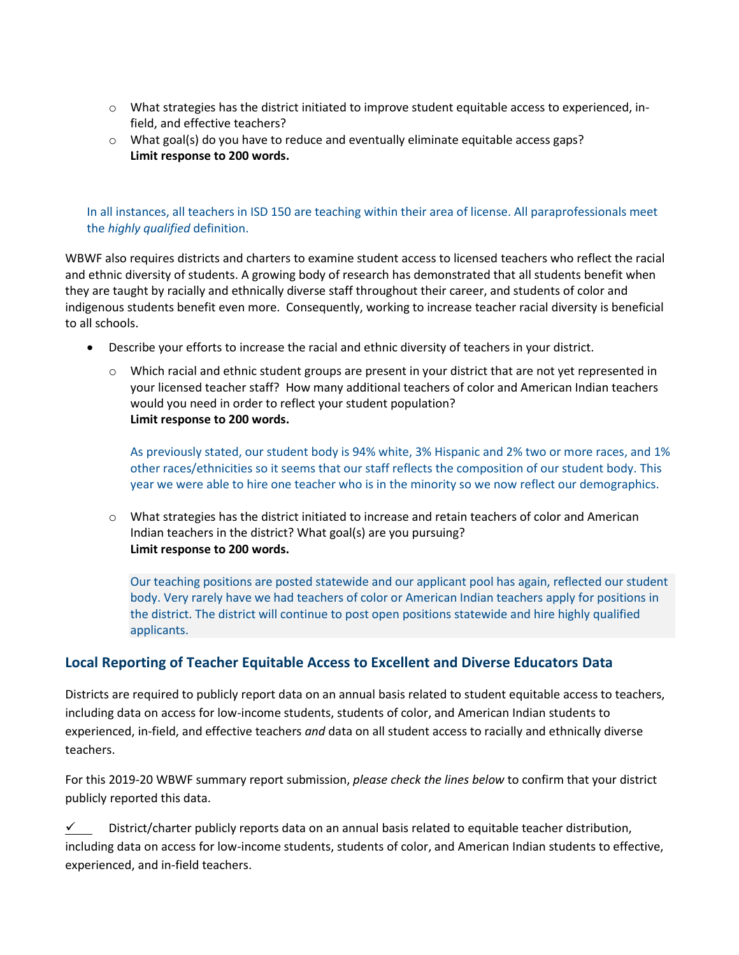- $\circ$  What strategies has the district initiated to improve student equitable access to experienced, infield, and effective teachers?
- $\circ$  What goal(s) do you have to reduce and eventually eliminate equitable access gaps? **Limit response to 200 words.**

#### In all instances, all teachers in ISD 150 are teaching within their area of license. All paraprofessionals meet the *highly qualified* definition.

WBWF also requires districts and charters to examine student access to licensed teachers who reflect the racial and ethnic diversity of students. A growing body of research has demonstrated that all students benefit when they are taught by racially and ethnically diverse staff throughout their career, and students of color and indigenous students benefit even more. Consequently, working to increase teacher racial diversity is beneficial to all schools.

- Describe your efforts to increase the racial and ethnic diversity of teachers in your district.
	- o Which racial and ethnic student groups are present in your district that are not yet represented in your licensed teacher staff? How many additional teachers of color and American Indian teachers would you need in order to reflect your student population? **Limit response to 200 words.**

As previously stated, our student body is 94% white, 3% Hispanic and 2% two or more races, and 1% other races/ethnicities so it seems that our staff reflects the composition of our student body. This year we were able to hire one teacher who is in the minority so we now reflect our demographics.

o What strategies has the district initiated to increase and retain teachers of color and American Indian teachers in the district? What goal(s) are you pursuing? **Limit response to 200 words.**

Our teaching positions are posted statewide and our applicant pool has again, reflected our student body. Very rarely have we had teachers of color or American Indian teachers apply for positions in the district. The district will continue to post open positions statewide and hire highly qualified applicants.

#### **Local Reporting of Teacher Equitable Access to Excellent and Diverse Educators Data**

Districts are required to publicly report data on an annual basis related to student equitable access to teachers, including data on access for low-income students, students of color, and American Indian students to experienced, in-field, and effective teachers *and* data on all student access to racially and ethnically diverse teachers.

For this 2019-20 WBWF summary report submission, *please check the lines below* to confirm that your district publicly reported this data.

 $\checkmark$  District/charter publicly reports data on an annual basis related to equitable teacher distribution, including data on access for low-income students, students of color, and American Indian students to effective, experienced, and in-field teachers.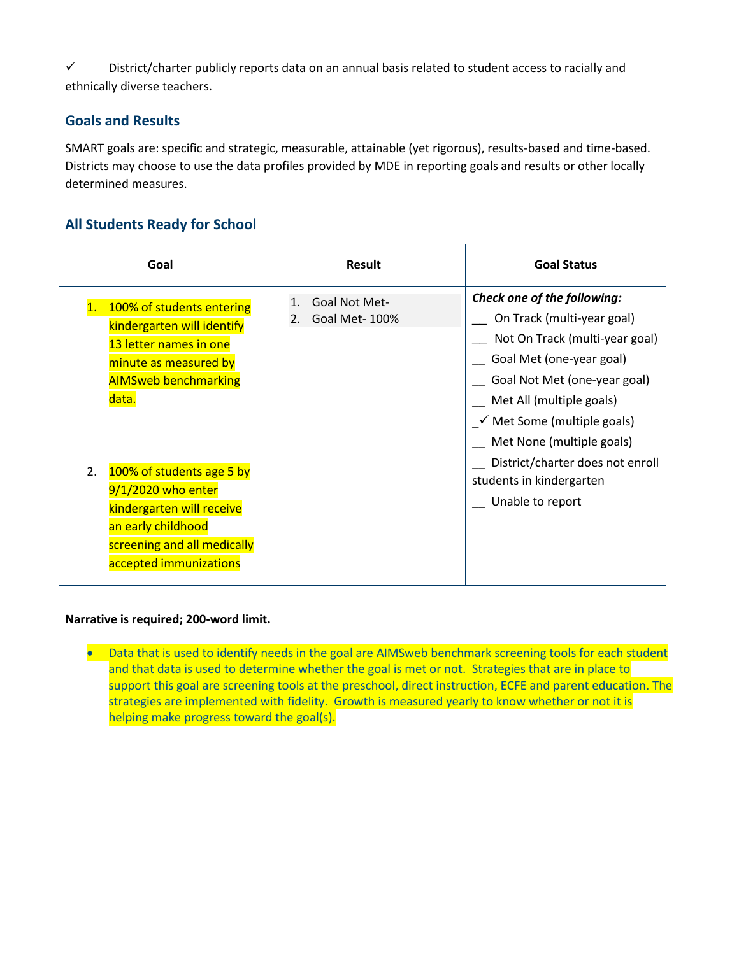$\checkmark$  District/charter publicly reports data on an annual basis related to student access to racially and ethnically diverse teachers.

## **Goals and Results**

SMART goals are: specific and strategic, measurable, attainable (yet rigorous), results-based and time-based. Districts may choose to use the data profiles provided by MDE in reporting goals and results or other locally determined measures.

# **All Students Ready for School**

| Goal                                                                                                                                                                                                                                                                                                                    | <b>Result</b>                                          | <b>Goal Status</b>                                                                                                                                                                                                                                                                                                                       |
|-------------------------------------------------------------------------------------------------------------------------------------------------------------------------------------------------------------------------------------------------------------------------------------------------------------------------|--------------------------------------------------------|------------------------------------------------------------------------------------------------------------------------------------------------------------------------------------------------------------------------------------------------------------------------------------------------------------------------------------------|
| 100% of students entering<br>kindergarten will identify<br>13 letter names in one<br>minute as measured by<br><b>AIMSweb benchmarking</b><br>data.<br>100% of students age 5 by<br>2.<br>9/1/2020 who enter<br>kindergarten will receive<br>an early childhood<br>screening and all medically<br>accepted immunizations | Goal Not Met-<br>$\mathbf{1}$ .<br>Goal Met-100%<br>2. | Check one of the following:<br>On Track (multi-year goal)<br>Not On Track (multi-year goal)<br>Goal Met (one-year goal)<br>Goal Not Met (one-year goal)<br>Met All (multiple goals)<br>$\leq$ Met Some (multiple goals)<br>Met None (multiple goals)<br>District/charter does not enroll<br>students in kindergarten<br>Unable to report |

#### **Narrative is required; 200-word limit.**

• Data that is used to identify needs in the goal are AIMSweb benchmark screening tools for each student and that data is used to determine whether the goal is met or not. Strategies that are in place to support this goal are screening tools at the preschool, direct instruction, ECFE and parent education. The strategies are implemented with fidelity. Growth is measured yearly to know whether or not it is helping make progress toward the goal(s).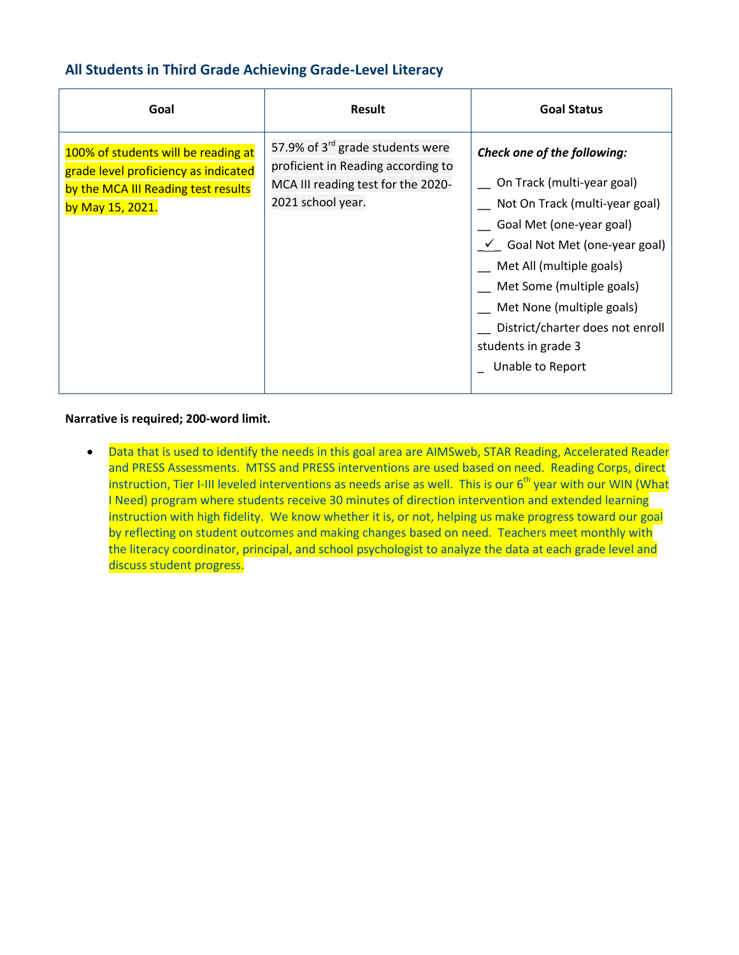# **All Students in Third Grade Achieving Grade-Level Literacy**

| Goal                                                                                                                                   | <b>Result</b>                                                                                                                                 | <b>Goal Status</b>                                                                                                                                                                                                                                                                                                                               |
|----------------------------------------------------------------------------------------------------------------------------------------|-----------------------------------------------------------------------------------------------------------------------------------------------|--------------------------------------------------------------------------------------------------------------------------------------------------------------------------------------------------------------------------------------------------------------------------------------------------------------------------------------------------|
| 100% of students will be reading at<br>grade level proficiency as indicated<br>by the MCA III Reading test results<br>by May 15, 2021. | 57.9% of 3 <sup>rd</sup> grade students were<br>proficient in Reading according to<br>MCA III reading test for the 2020-<br>2021 school year. | <b>Check one of the following:</b><br>On Track (multi-year goal)<br>Not On Track (multi-year goal)<br>Goal Met (one-year goal)<br>$\checkmark$ Goal Not Met (one-year goal)<br>Met All (multiple goals)<br>Met Some (multiple goals)<br>Met None (multiple goals)<br>District/charter does not enroll<br>students in grade 3<br>Unable to Report |

#### **Narrative is required; 200-word limit.**

• Data that is used to identify the needs in this goal area are AIMSweb, STAR Reading, Accelerated Reader and PRESS Assessments. MTSS and PRESS interventions are used based on need. Reading Corps, direct instruction, Tier I-III leveled interventions as needs arise as well. This is our 6<sup>th</sup> year with our WIN (What I Need) program where students receive 30 minutes of direction intervention and extended learning instruction with high fidelity. We know whether it is, or not, helping us make progress toward our goal by reflecting on student outcomes and making changes based on need. Teachers meet monthly with the literacy coordinator, principal, and school psychologist to analyze the data at each grade level and discuss student progress.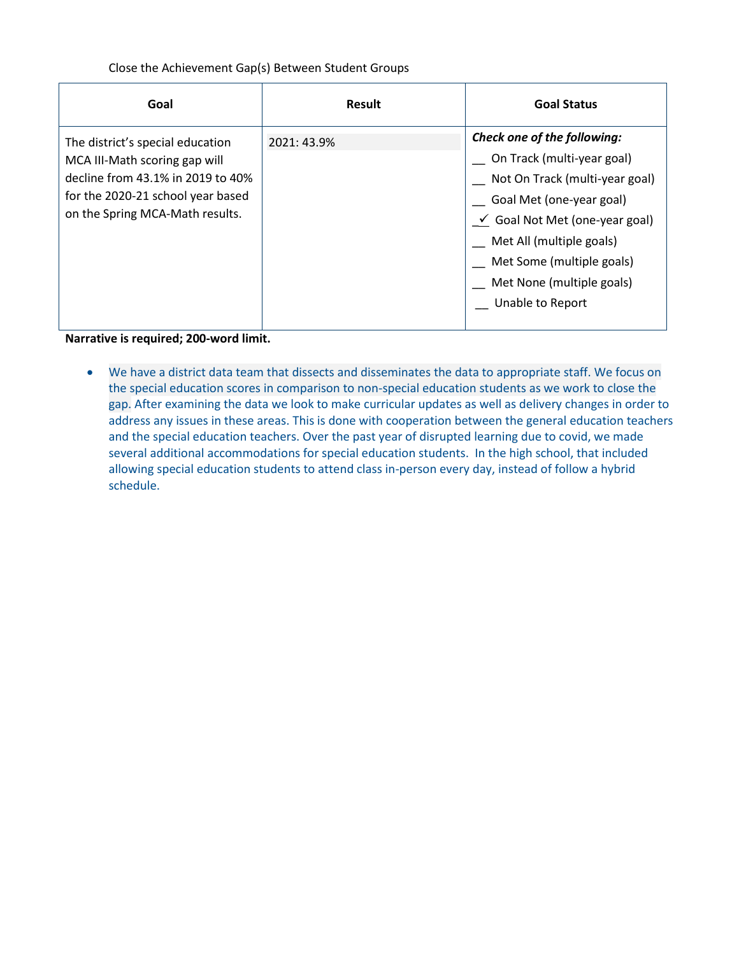#### Close the Achievement Gap(s) Between Student Groups

| Goal                                                                                                                                                                           | <b>Result</b> | <b>Goal Status</b>                                                                                                                                                                                                                                                      |
|--------------------------------------------------------------------------------------------------------------------------------------------------------------------------------|---------------|-------------------------------------------------------------------------------------------------------------------------------------------------------------------------------------------------------------------------------------------------------------------------|
| The district's special education<br>MCA III-Math scoring gap will<br>decline from 43.1% in 2019 to 40%<br>for the 2020-21 school year based<br>on the Spring MCA-Math results. | 2021: 43.9%   | Check one of the following:<br>On Track (multi-year goal)<br>Not On Track (multi-year goal)<br>Goal Met (one-year goal)<br>$\le$ Goal Not Met (one-year goal)<br>Met All (multiple goals)<br>Met Some (multiple goals)<br>Met None (multiple goals)<br>Unable to Report |

**Narrative is required; 200-word limit.**

 We have a district data team that dissects and disseminates the data to appropriate staff. We focus on the special education scores in comparison to non-special education students as we work to close the gap. After examining the data we look to make curricular updates as well as delivery changes in order to address any issues in these areas. This is done with cooperation between the general education teachers and the special education teachers. Over the past year of disrupted learning due to covid, we made several additional accommodations for special education students. In the high school, that included allowing special education students to attend class in-person every day, instead of follow a hybrid schedule.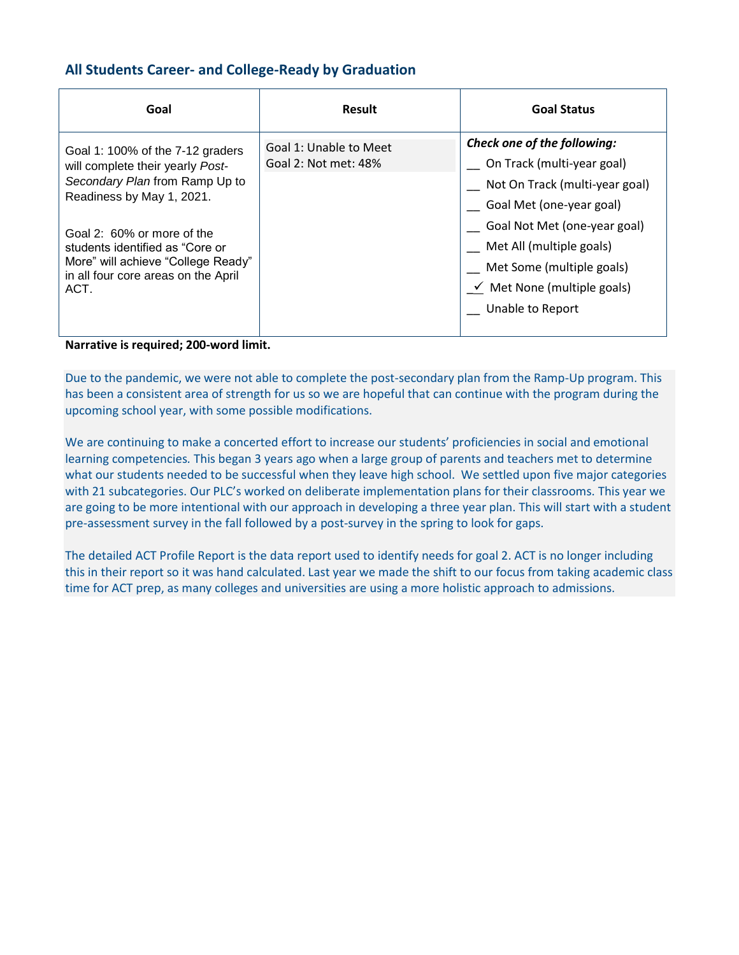#### **All Students Career- and College-Ready by Graduation**

| Goal                                                                                                                                                                                                                                                                                      | <b>Result</b>                                  | <b>Goal Status</b>                                                                                                                                                                                                                                                       |
|-------------------------------------------------------------------------------------------------------------------------------------------------------------------------------------------------------------------------------------------------------------------------------------------|------------------------------------------------|--------------------------------------------------------------------------------------------------------------------------------------------------------------------------------------------------------------------------------------------------------------------------|
| Goal 1: 100% of the 7-12 graders<br>will complete their yearly Post-<br>Secondary Plan from Ramp Up to<br>Readiness by May 1, 2021.<br>Goal 2: 60% or more of the<br>students identified as "Core or<br>More" will achieve "College Ready"<br>in all four core areas on the April<br>ACT. | Goal 1: Unable to Meet<br>Goal 2: Not met: 48% | Check one of the following:<br>On Track (multi-year goal)<br>Not On Track (multi-year goal)<br>Goal Met (one-year goal)<br>Goal Not Met (one-year goal)<br>Met All (multiple goals)<br>Met Some (multiple goals)<br>$\leq$ Met None (multiple goals)<br>Unable to Report |

**Narrative is required; 200-word limit.**

Due to the pandemic, we were not able to complete the post-secondary plan from the Ramp-Up program. This has been a consistent area of strength for us so we are hopeful that can continue with the program during the upcoming school year, with some possible modifications.

We are continuing to make a concerted effort to increase our students' proficiencies in social and emotional learning competencies*.* This began 3 years ago when a large group of parents and teachers met to determine what our students needed to be successful when they leave high school. We settled upon five major categories with 21 subcategories. Our PLC's worked on deliberate implementation plans for their classrooms. This year we are going to be more intentional with our approach in developing a three year plan. This will start with a student pre-assessment survey in the fall followed by a post-survey in the spring to look for gaps.

The detailed ACT Profile Report is the data report used to identify needs for goal 2. ACT is no longer including this in their report so it was hand calculated. Last year we made the shift to our focus from taking academic class time for ACT prep, as many colleges and universities are using a more holistic approach to admissions.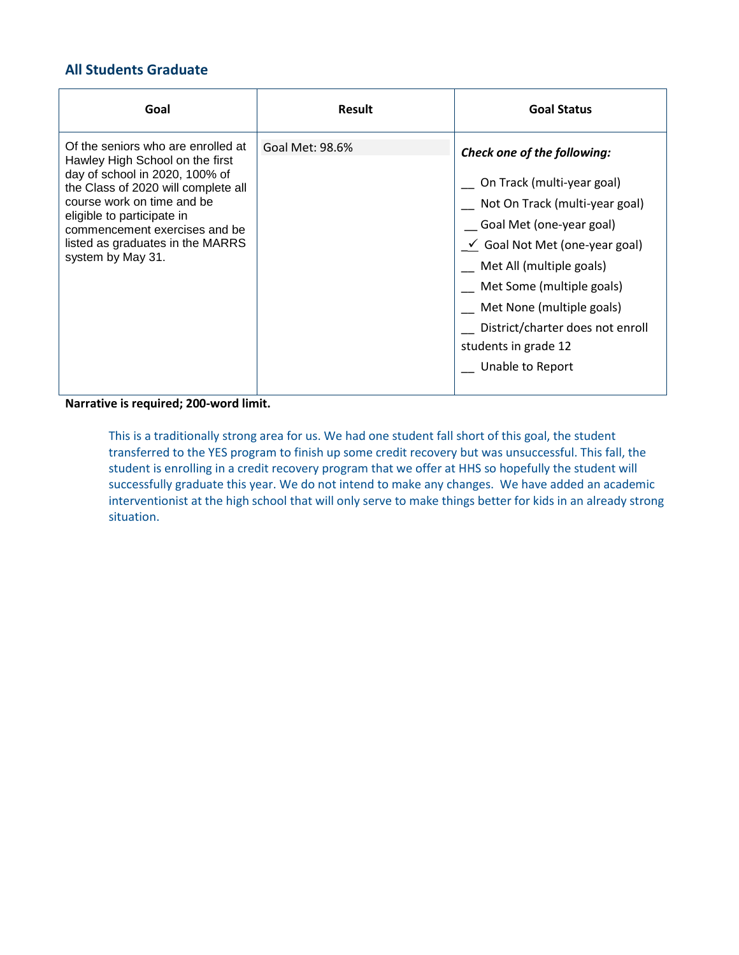# **All Students Graduate**

| Goal                                                                                                                                                                                                                                                                                                 | <b>Result</b>   | <b>Goal Status</b>                                                                                                                                                                                                                                                                                                                                |
|------------------------------------------------------------------------------------------------------------------------------------------------------------------------------------------------------------------------------------------------------------------------------------------------------|-----------------|---------------------------------------------------------------------------------------------------------------------------------------------------------------------------------------------------------------------------------------------------------------------------------------------------------------------------------------------------|
| Of the seniors who are enrolled at<br>Hawley High School on the first<br>day of school in 2020, 100% of<br>the Class of 2020 will complete all<br>course work on time and be<br>eligible to participate in<br>commencement exercises and be<br>listed as graduates in the MARRS<br>system by May 31. | Goal Met: 98.6% | <b>Check one of the following:</b><br>On Track (multi-year goal)<br>Not On Track (multi-year goal)<br>Goal Met (one-year goal)<br>$\checkmark$ Goal Not Met (one-year goal)<br>Met All (multiple goals)<br>Met Some (multiple goals)<br>Met None (multiple goals)<br>District/charter does not enroll<br>students in grade 12<br>Unable to Report |

**Narrative is required; 200-word limit.**

This is a traditionally strong area for us. We had one student fall short of this goal, the student transferred to the YES program to finish up some credit recovery but was unsuccessful. This fall, the student is enrolling in a credit recovery program that we offer at HHS so hopefully the student will successfully graduate this year. We do not intend to make any changes. We have added an academic interventionist at the high school that will only serve to make things better for kids in an already strong situation.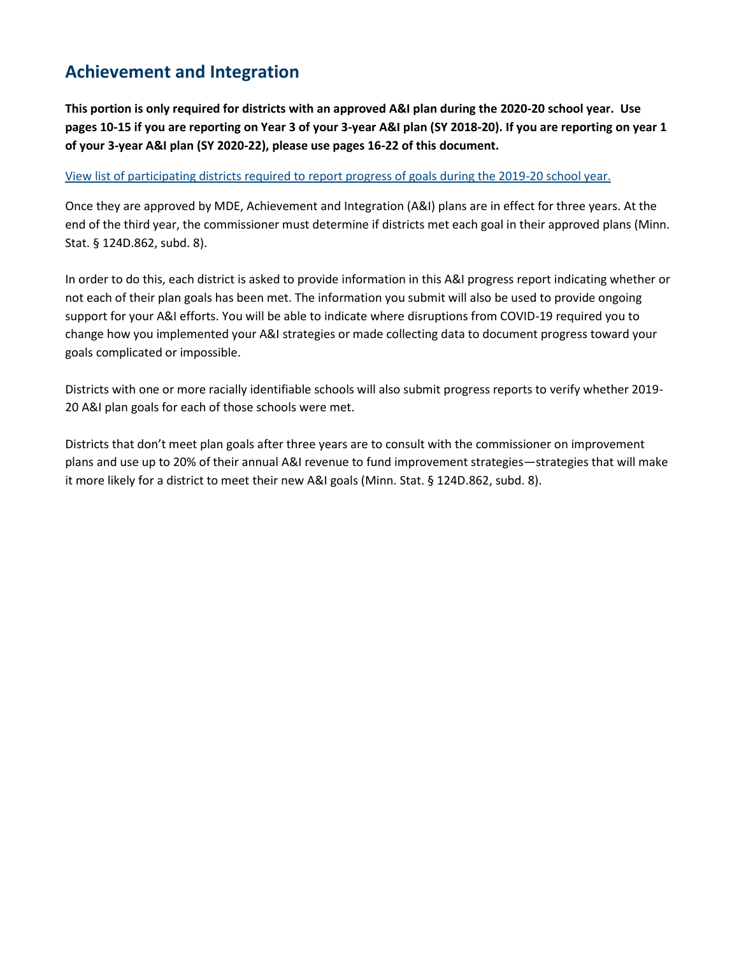# **Achievement and Integration**

**This portion is only required for districts with an approved A&I plan during the 2020-20 school year. Use pages 10-15 if you are reporting on Year 3 of your 3-year A&I plan (SY 2018-20). If you are reporting on year 1 of your 3-year A&I plan (SY 2020-22), please use pages 16-22 of this document.**

#### [View list of participating districts required to report progress of goals during the 2019-20 school year.](https://education.mn.gov/MDE/fam/003359)

Once they are approved by MDE, Achievement and Integration (A&I) plans are in effect for three years. At the end of the third year, the commissioner must determine if districts met each goal in their approved plans (Minn. Stat. § 124D.862, subd. 8).

In order to do this, each district is asked to provide information in this A&I progress report indicating whether or not each of their plan goals has been met. The information you submit will also be used to provide ongoing support for your A&I efforts. You will be able to indicate where disruptions from COVID-19 required you to change how you implemented your A&I strategies or made collecting data to document progress toward your goals complicated or impossible.

Districts with one or more racially identifiable schools will also submit progress reports to verify whether 2019- 20 A&I plan goals for each of those schools were met.

Districts that don't meet plan goals after three years are to consult with the commissioner on improvement plans and use up to 20% of their annual A&I revenue to fund improvement strategies—strategies that will make it more likely for a district to meet their new A&I goals (Minn. Stat. § 124D.862, subd. 8).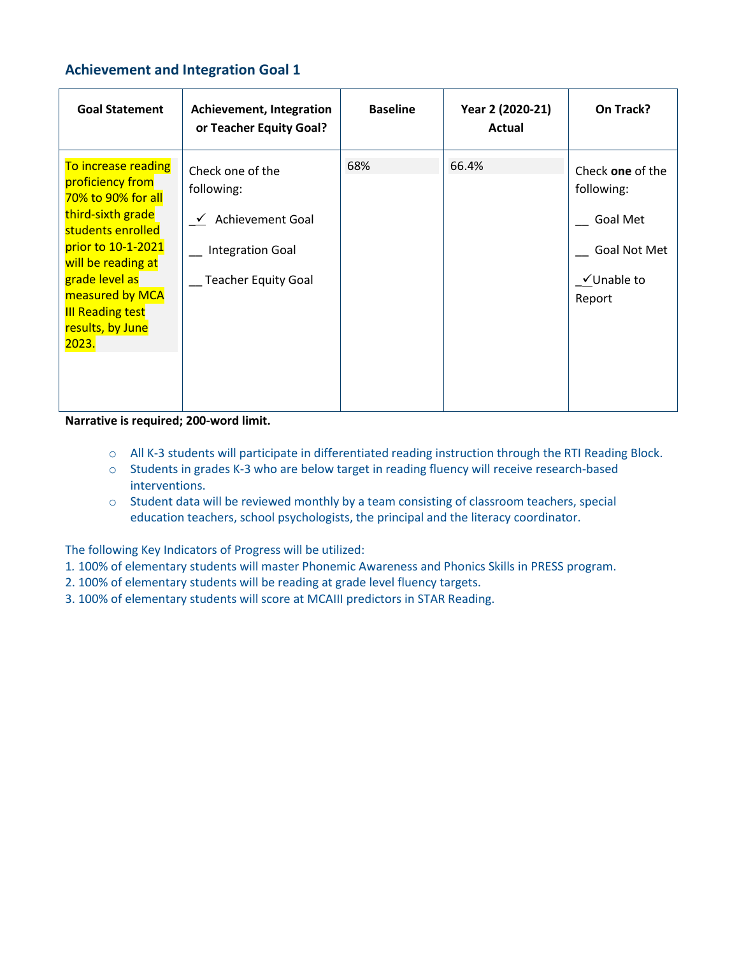# **Achievement and Integration Goal 1**

| <b>Goal Statement</b>                                                                                                                                                                                                                            | <b>Achievement, Integration</b><br>or Teacher Equity Goal?                                                         | <b>Baseline</b> | Year 2 (2020-21)<br><b>Actual</b> | On Track?                                                                          |
|--------------------------------------------------------------------------------------------------------------------------------------------------------------------------------------------------------------------------------------------------|--------------------------------------------------------------------------------------------------------------------|-----------------|-----------------------------------|------------------------------------------------------------------------------------|
| To increase reading<br>proficiency from<br>70% to 90% for all<br>third-sixth grade<br>students enrolled<br>prior to 10-1-2021<br>will be reading at<br>grade level as<br>measured by MCA<br><b>III Reading test</b><br>results, by June<br>2023. | Check one of the<br>following:<br><b>Achievement Goal</b><br><b>Integration Goal</b><br><b>Teacher Equity Goal</b> | 68%             | 66.4%                             | Check one of the<br>following:<br>Goal Met<br>Goal Not Met<br>√Unable to<br>Report |

**Narrative is required; 200-word limit.**

- o All K-3 students will participate in differentiated reading instruction through the RTI Reading Block.
- o Students in grades K-3 who are below target in reading fluency will receive research-based interventions.
- o Student data will be reviewed monthly by a team consisting of classroom teachers, special education teachers, school psychologists, the principal and the literacy coordinator.

The following Key Indicators of Progress will be utilized:

- 1*.* 100% of elementary students will master Phonemic Awareness and Phonics Skills in PRESS program.
- 2. 100% of elementary students will be reading at grade level fluency targets.
- 3. 100% of elementary students will score at MCAIII predictors in STAR Reading.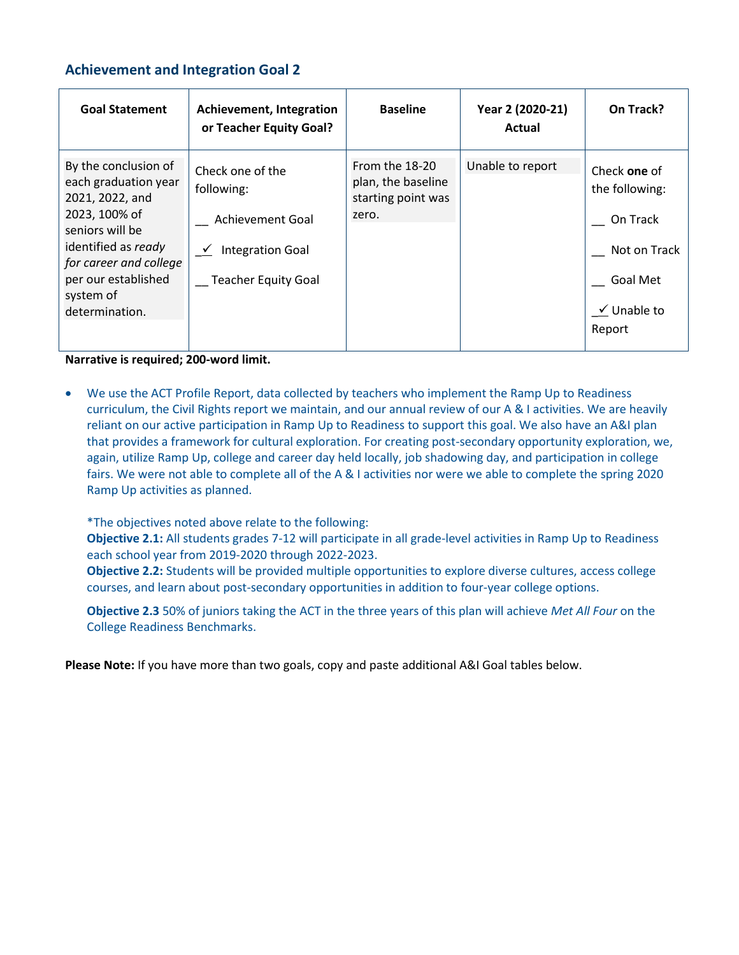#### **Achievement and Integration Goal 2**

| <b>Goal Statement</b>                                                                                                                                                                                      | Achievement, Integration<br>or Teacher Equity Goal?                                                                | <b>Baseline</b>                                                     | Year 2 (2020-21)<br>Actual | On Track?                                                                                                  |
|------------------------------------------------------------------------------------------------------------------------------------------------------------------------------------------------------------|--------------------------------------------------------------------------------------------------------------------|---------------------------------------------------------------------|----------------------------|------------------------------------------------------------------------------------------------------------|
| By the conclusion of<br>each graduation year<br>2021, 2022, and<br>2023, 100% of<br>seniors will be<br>identified as ready<br>for career and college<br>per our established<br>system of<br>determination. | Check one of the<br>following:<br><b>Achievement Goal</b><br><b>Integration Goal</b><br><b>Teacher Equity Goal</b> | From the 18-20<br>plan, the baseline<br>starting point was<br>zero. | Unable to report           | Check one of<br>the following:<br>On Track<br>Not on Track<br>Goal Met<br>$\checkmark$ Unable to<br>Report |

**Narrative is required; 200-word limit.**

 We use the ACT Profile Report, data collected by teachers who implement the Ramp Up to Readiness curriculum, the Civil Rights report we maintain, and our annual review of our A & I activities. We are heavily reliant on our active participation in Ramp Up to Readiness to support this goal. We also have an A&I plan that provides a framework for cultural exploration. For creating post-secondary opportunity exploration, we, again, utilize Ramp Up, college and career day held locally, job shadowing day, and participation in college fairs. We were not able to complete all of the A & I activities nor were we able to complete the spring 2020 Ramp Up activities as planned.

\*The objectives noted above relate to the following:

**Objective 2.1:** All students grades 7-12 will participate in all grade-level activities in Ramp Up to Readiness each school year from 2019-2020 through 2022-2023.

**Objective 2.2:** Students will be provided multiple opportunities to explore diverse cultures, access college courses, and learn about post-secondary opportunities in addition to four-year college options.

**Objective 2.3** 50% of juniors taking the ACT in the three years of this plan will achieve *Met All Four* on the College Readiness Benchmarks.

**Please Note:** If you have more than two goals, copy and paste additional A&I Goal tables below.